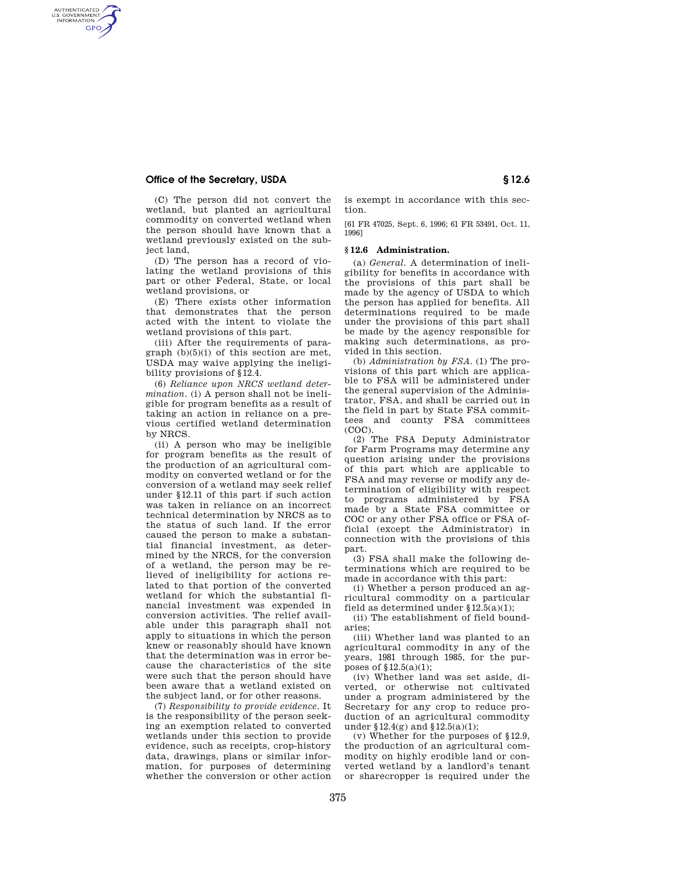## **Office of the Secretary, USDA § 12.6**

AUTHENTICATED<br>U.S. GOVERNMENT<br>INFORMATION **GPO** 

> (C) The person did not convert the wetland, but planted an agricultural commodity on converted wetland when the person should have known that a wetland previously existed on the subject land,

> (D) The person has a record of violating the wetland provisions of this part or other Federal, State, or local wetland provisions, or

> (E) There exists other information that demonstrates that the person acted with the intent to violate the wetland provisions of this part.

> (iii) After the requirements of para $graph (b)(5)(i)$  of this section are met, USDA may waive applying the ineligibility provisions of §12.4.

> (6) *Reliance upon NRCS wetland determination.* (i) A person shall not be ineligible for program benefits as a result of taking an action in reliance on a previous certified wetland determination by NRCS.

> (ii) A person who may be ineligible for program benefits as the result of the production of an agricultural commodity on converted wetland or for the conversion of a wetland may seek relief under §12.11 of this part if such action was taken in reliance on an incorrect technical determination by NRCS as to the status of such land. If the error caused the person to make a substantial financial investment, as determined by the NRCS, for the conversion of a wetland, the person may be relieved of ineligibility for actions related to that portion of the converted wetland for which the substantial financial investment was expended in conversion activities. The relief available under this paragraph shall not apply to situations in which the person knew or reasonably should have known that the determination was in error because the characteristics of the site were such that the person should have been aware that a wetland existed on the subject land, or for other reasons.

> (7) *Responsibility to provide evidence.* It is the responsibility of the person seeking an exemption related to converted wetlands under this section to provide evidence, such as receipts, crop-history data, drawings, plans or similar information, for purposes of determining whether the conversion or other action

is exempt in accordance with this section.

[61 FR 47025, Sept. 6, 1996; 61 FR 53491, Oct. 11, 1996]

## **§ 12.6 Administration.**

(a) *General.* A determination of ineligibility for benefits in accordance with the provisions of this part shall be made by the agency of USDA to which the person has applied for benefits. All determinations required to be made under the provisions of this part shall be made by the agency responsible for making such determinations, as provided in this section.

(b) *Administration by FSA.* (1) The provisions of this part which are applicable to FSA will be administered under the general supervision of the Administrator, FSA, and shall be carried out in the field in part by State FSA committees and county FSA committees (COC).

(2) The FSA Deputy Administrator for Farm Programs may determine any question arising under the provisions of this part which are applicable to FSA and may reverse or modify any determination of eligibility with respect to programs administered by FSA made by a State FSA committee or COC or any other FSA office or FSA official (except the Administrator) in connection with the provisions of this part.

(3) FSA shall make the following determinations which are required to be made in accordance with this part:

(i) Whether a person produced an agricultural commodity on a particular field as determined under §12.5(a)(1);

(ii) The establishment of field boundaries;

(iii) Whether land was planted to an agricultural commodity in any of the years, 1981 through 1985, for the purposes of  $$12.5(a)(1);$ 

(iv) Whether land was set aside, diverted, or otherwise not cultivated under a program administered by the Secretary for any crop to reduce production of an agricultural commodity under  $$12.4(g)$  and  $$12.5(a)(1);$ 

(v) Whether for the purposes of §12.9, the production of an agricultural commodity on highly erodible land or converted wetland by a landlord's tenant or sharecropper is required under the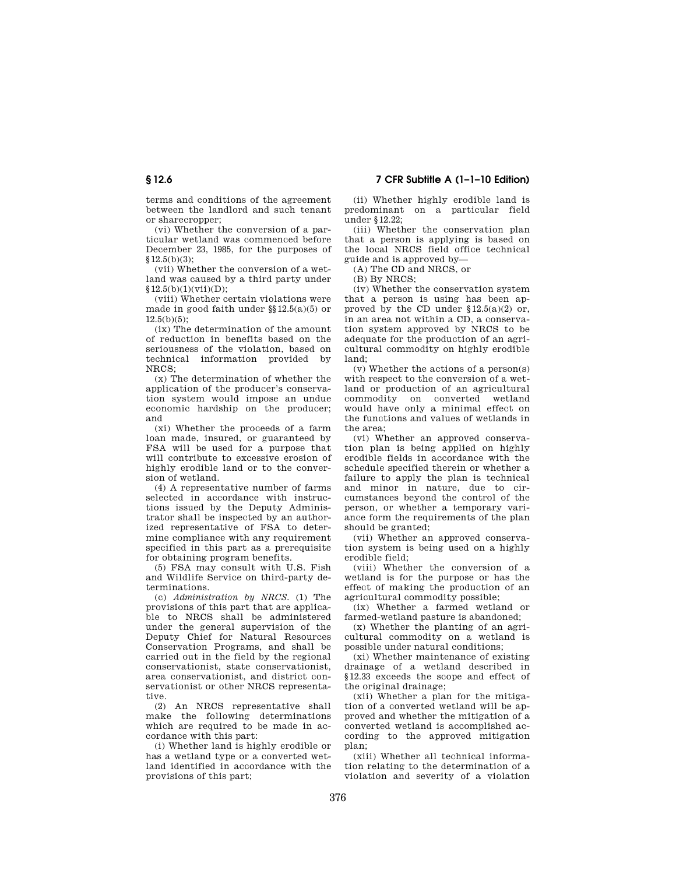terms and conditions of the agreement between the landlord and such tenant

or sharecropper; (vi) Whether the conversion of a particular wetland was commenced before December 23, 1985, for the purposes of  $$12.5(b)(3):$ 

(vii) Whether the conversion of a wetland was caused by a third party under  $$12.5(b)(1)(vii)(D):$ 

(viii) Whether certain violations were made in good faith under §§12.5(a)(5) or  $12.5(h)(5)$ ;

(ix) The determination of the amount of reduction in benefits based on the seriousness of the violation, based on technical information provided by NRCS;

(x) The determination of whether the application of the producer's conservation system would impose an undue economic hardship on the producer; and

(xi) Whether the proceeds of a farm loan made, insured, or guaranteed by FSA will be used for a purpose that will contribute to excessive erosion of highly erodible land or to the conversion of wetland.

(4) A representative number of farms selected in accordance with instructions issued by the Deputy Administrator shall be inspected by an authorized representative of FSA to determine compliance with any requirement specified in this part as a prerequisite for obtaining program benefits.

(5) FSA may consult with U.S. Fish and Wildlife Service on third-party determinations.

(c) *Administration by NRCS.* (1) The provisions of this part that are applicable to NRCS shall be administered under the general supervision of the Deputy Chief for Natural Resources Conservation Programs, and shall be carried out in the field by the regional conservationist, state conservationist, area conservationist, and district conservationist or other NRCS representative.

(2) An NRCS representative shall make the following determinations which are required to be made in accordance with this part:

(i) Whether land is highly erodible or has a wetland type or a converted wetland identified in accordance with the provisions of this part;

(ii) Whether highly erodible land is predominant on a particular field under §12.22;

(iii) Whether the conservation plan that a person is applying is based on the local NRCS field office technical guide and is approved by—

(A) The CD and NRCS, or

(B) By NRCS;

(iv) Whether the conservation system that a person is using has been approved by the CD under  $$12.5(a)(2)$  or, in an area not within a CD, a conservation system approved by NRCS to be adequate for the production of an agricultural commodity on highly erodible land;

(v) Whether the actions of a person(s) with respect to the conversion of a wetland or production of an agricultural commodity on converted wetland would have only a minimal effect on the functions and values of wetlands in the area;

(vi) Whether an approved conservation plan is being applied on highly erodible fields in accordance with the schedule specified therein or whether a failure to apply the plan is technical and minor in nature, due to circumstances beyond the control of the person, or whether a temporary variance form the requirements of the plan should be granted;

(vii) Whether an approved conservation system is being used on a highly erodible field;

(viii) Whether the conversion of a wetland is for the purpose or has the effect of making the production of an agricultural commodity possible;

(ix) Whether a farmed wetland or farmed-wetland pasture is abandoned;

(x) Whether the planting of an agricultural commodity on a wetland is possible under natural conditions;

(xi) Whether maintenance of existing drainage of a wetland described in §12.33 exceeds the scope and effect of the original drainage;

(xii) Whether a plan for the mitigation of a converted wetland will be approved and whether the mitigation of a converted wetland is accomplished according to the approved mitigation plan;

(xiii) Whether all technical information relating to the determination of a violation and severity of a violation